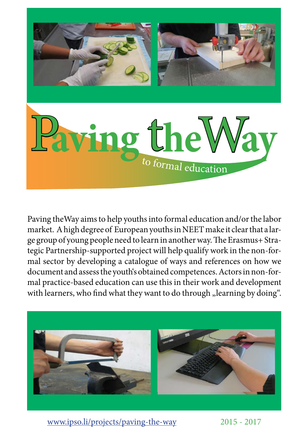

Paving theWay aims to help youths into formal education and/or the labor market. A high degree of European youths in NEET make it clear that a large group of young people need to learn in another way. The Erasmus+ Strategic Partnership-supported project will help qualify work in the non-formal sector by developing a catalogue of ways and references on how we document and assess the youth's obtained competences. Actors in non-formal practice-based education can use this in their work and development with learners, who find what they want to do through "learning by doing".



www.ipso.li/projects/paving-the-way

2015 - 2017